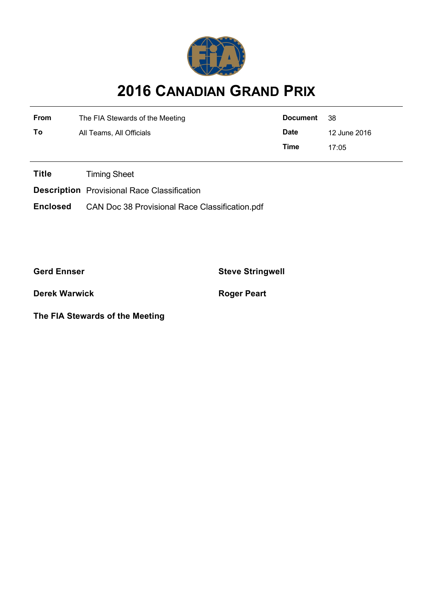

# **2016 CANADIAN GRAND PRIX**

| <b>From</b> | The FIA Stewards of the Meeting | Document                    | - 38  |  |
|-------------|---------------------------------|-----------------------------|-------|--|
| To          | All Teams, All Officials        | <b>Date</b><br>12 June 2016 |       |  |
|             |                                 | Time                        | 17.05 |  |

**Title** Timing Sheet

**Description** Provisional Race Classification

**Enclosed** CAN Doc 38 Provisional Race Classification.pdf

**Gerd Ennser Steve Stringwell**

**Derek Warwick Roger Peart** 

**The FIA Stewards of the Meeting**